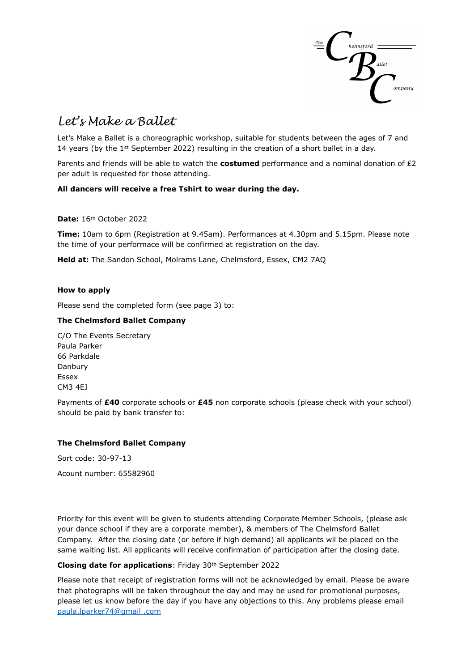

# *Let's Make a Ballet*

Let's Make a Ballet is a choreographic workshop, suitable for students between the ages of 7 and 14 years (by the 1st September 2022) resulting in the creation of a short ballet in a day.

Parents and friends will be able to watch the **costumed** performance and a nominal donation of £2 per adult is requested for those attending.

## **All dancers will receive a free Tshirt to wear during the day.**

**Date:** 16th October 2022

**Time:** 10am to 6pm (Registration at 9.45am). Performances at 4.30pm and 5.15pm. Please note the time of your performace will be confirmed at registration on the day.

**Held at:** The Sandon School, Molrams Lane, Chelmsford, Essex, CM2 7AQ

#### **How to apply**

Please send the completed form (see page 3) to:

#### **The Chelmsford Ballet Company**

C/O The Events Secretary Paula Parker 66 Parkdale Danbury Essex CM3 4EJ

Payments of **£40** corporate schools or **£45** non corporate schools (please check with your school) should be paid by bank transfer to:

#### **The Chelmsford Ballet Company**

Sort code: 30-97-13

Acount number: 65582960

Priority for this event will be given to students attending Corporate Member Schools, (please ask your dance school if they are a corporate member), & members of The Chelmsford Ballet Company. After the closing date (or before if high demand) all applicants wil be placed on the same waiting list. All applicants will receive confirmation of participation after the closing date.

### **Closing date for applications**: Friday 30th September 2022

Please note that receipt of registration forms will not be acknowledged by email. Please be aware that photographs will be taken throughout the day and may be used for promotional purposes, please let us know before the day if you have any objections to this. Any problems please email [paula.lparker74@gmail](mailto:paula.lparker74@gmail) .com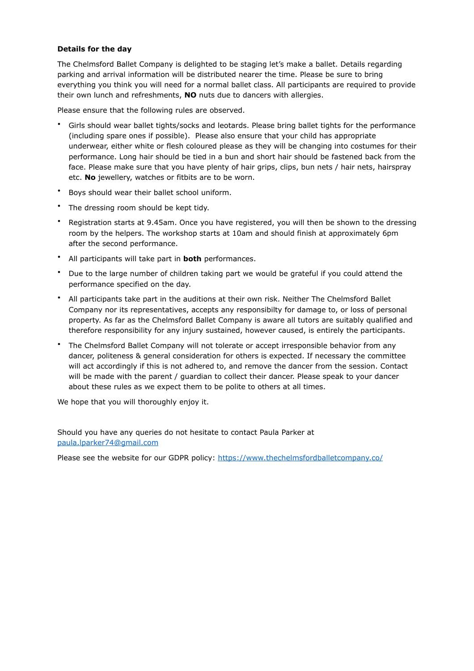#### **Details for the day**

The Chelmsford Ballet Company is delighted to be staging let's make a ballet. Details regarding parking and arrival information will be distributed nearer the time. Please be sure to bring everything you think you will need for a normal ballet class. All participants are required to provide their own lunch and refreshments, **NO** nuts due to dancers with allergies.

Please ensure that the following rules are observed.

- Girls should wear ballet tights/socks and leotards. Please bring ballet tights for the performance (including spare ones if possible). Please also ensure that your child has appropriate underwear, either white or flesh coloured please as they will be changing into costumes for their performance. Long hair should be tied in a bun and short hair should be fastened back from the face. Please make sure that you have plenty of hair grips, clips, bun nets / hair nets, hairspray etc. **No** jewellery, watches or fitbits are to be worn.
- Boys should wear their ballet school uniform.
- The dressing room should be kept tidy.
- Registration starts at 9.45am. Once you have registered, you will then be shown to the dressing room by the helpers. The workshop starts at 10am and should finish at approximately 6pm after the second performance.
- All participants will take part in **both** performances.
- Due to the large number of children taking part we would be grateful if you could attend the performance specified on the day.
- All participants take part in the auditions at their own risk. Neither The Chelmsford Ballet Company nor its representatives, accepts any responsibilty for damage to, or loss of personal property. As far as the Chelmsford Ballet Company is aware all tutors are suitably qualified and therefore responsibility for any injury sustained, however caused, is entirely the participants.
- The Chelmsford Ballet Company will not tolerate or accept irresponsible behavior from any dancer, politeness & general consideration for others is expected. If necessary the committee will act accordingly if this is not adhered to, and remove the dancer from the session. Contact will be made with the parent / guardian to collect their dancer. Please speak to your dancer about these rules as we expect them to be polite to others at all times.

We hope that you will thoroughly enjoy it.

Should you have any queries do not hesitate to contact Paula Parker at [paula.lparker74@gmail.com](mailto:paula.lparker74@gmail.com)

Please see the website for our GDPR policy: <https://www.thechelmsfordballetcompany.co/>